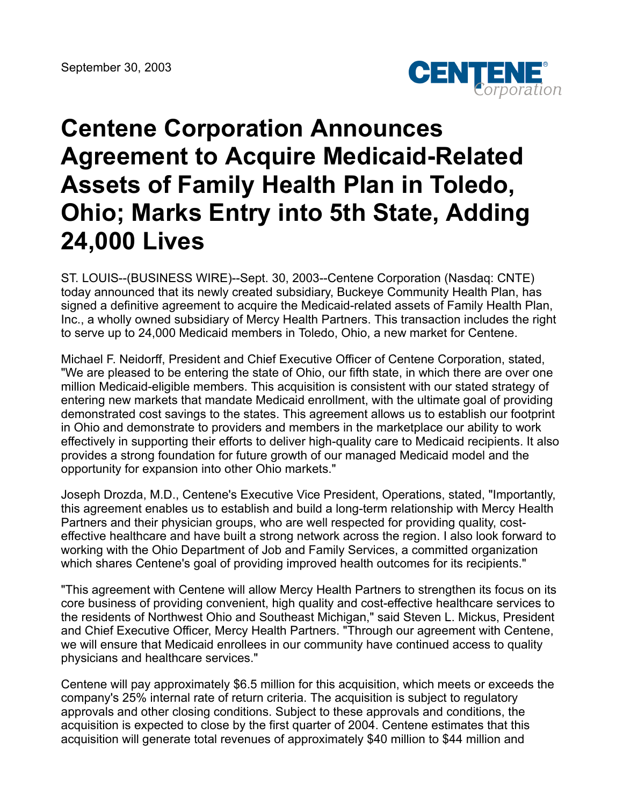

## **Centene Corporation Announces Agreement to Acquire Medicaid-Related Assets of Family Health Plan in Toledo, Ohio; Marks Entry into 5th State, Adding 24,000 Lives**

ST. LOUIS--(BUSINESS WIRE)--Sept. 30, 2003--Centene Corporation (Nasdaq: CNTE) today announced that its newly created subsidiary, Buckeye Community Health Plan, has signed a definitive agreement to acquire the Medicaid-related assets of Family Health Plan, Inc., a wholly owned subsidiary of Mercy Health Partners. This transaction includes the right to serve up to 24,000 Medicaid members in Toledo, Ohio, a new market for Centene.

Michael F. Neidorff, President and Chief Executive Officer of Centene Corporation, stated, "We are pleased to be entering the state of Ohio, our fifth state, in which there are over one million Medicaid-eligible members. This acquisition is consistent with our stated strategy of entering new markets that mandate Medicaid enrollment, with the ultimate goal of providing demonstrated cost savings to the states. This agreement allows us to establish our footprint in Ohio and demonstrate to providers and members in the marketplace our ability to work effectively in supporting their efforts to deliver high-quality care to Medicaid recipients. It also provides a strong foundation for future growth of our managed Medicaid model and the opportunity for expansion into other Ohio markets."

Joseph Drozda, M.D., Centene's Executive Vice President, Operations, stated, "Importantly, this agreement enables us to establish and build a long-term relationship with Mercy Health Partners and their physician groups, who are well respected for providing quality, costeffective healthcare and have built a strong network across the region. I also look forward to working with the Ohio Department of Job and Family Services, a committed organization which shares Centene's goal of providing improved health outcomes for its recipients."

"This agreement with Centene will allow Mercy Health Partners to strengthen its focus on its core business of providing convenient, high quality and cost-effective healthcare services to the residents of Northwest Ohio and Southeast Michigan," said Steven L. Mickus, President and Chief Executive Officer, Mercy Health Partners. "Through our agreement with Centene, we will ensure that Medicaid enrollees in our community have continued access to quality physicians and healthcare services."

Centene will pay approximately \$6.5 million for this acquisition, which meets or exceeds the company's 25% internal rate of return criteria. The acquisition is subject to regulatory approvals and other closing conditions. Subject to these approvals and conditions, the acquisition is expected to close by the first quarter of 2004. Centene estimates that this acquisition will generate total revenues of approximately \$40 million to \$44 million and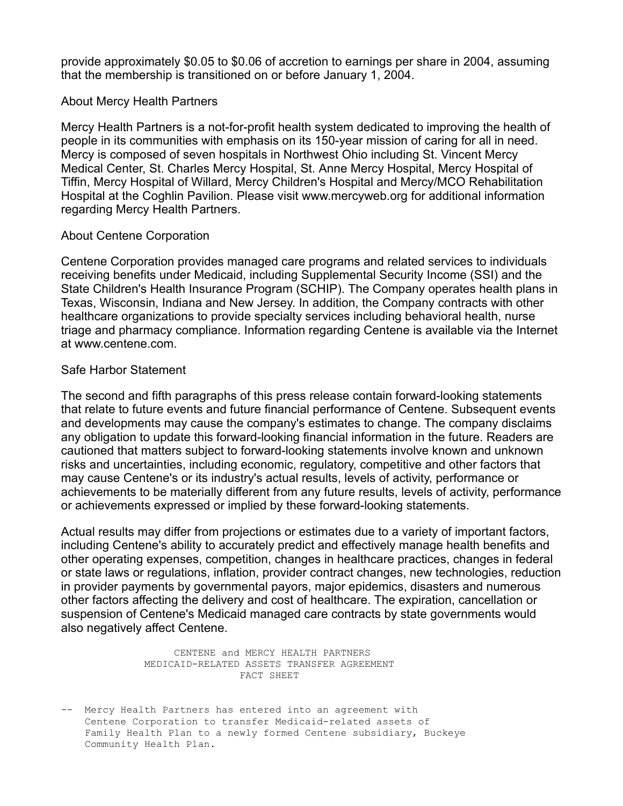provide approximately \$0.05 to \$0.06 of accretion to earnings per share in 2004, assuming that the membership is transitioned on or before January 1, 2004.

## About Mercy Health Partners

Mercy Health Partners is a not-for-profit health system dedicated to improving the health of people in its communities with emphasis on its 150-year mission of caring for all in need. Mercy is composed of seven hospitals in Northwest Ohio including St. Vincent Mercy Medical Center, St. Charles Mercy Hospital, St. Anne Mercy Hospital, Mercy Hospital of Tiffin, Mercy Hospital of Willard, Mercy Children's Hospital and Mercy/MCO Rehabilitation Hospital at the Coghlin Pavilion. Please visit www.mercyweb.org for additional information regarding Mercy Health Partners.

## About Centene Corporation

Centene Corporation provides managed care programs and related services to individuals receiving benefits under Medicaid, including Supplemental Security Income (SSI) and the State Children's Health Insurance Program (SCHIP). The Company operates health plans in Texas, Wisconsin, Indiana and New Jersey. In addition, the Company contracts with other healthcare organizations to provide specialty services including behavioral health, nurse triage and pharmacy compliance. Information regarding Centene is available via the Internet at www.centene.com.

## Safe Harbor Statement

The second and fifth paragraphs of this press release contain forward-looking statements that relate to future events and future financial performance of Centene. Subsequent events and developments may cause the company's estimates to change. The company disclaims any obligation to update this forward-looking financial information in the future. Readers are cautioned that matters subject to forward-looking statements involve known and unknown risks and uncertainties, including economic, regulatory, competitive and other factors that may cause Centene's or its industry's actual results, levels of activity, performance or achievements to be materially different from any future results, levels of activity, performance or achievements expressed or implied by these forward-looking statements.

Actual results may differ from projections or estimates due to a variety of important factors, including Centene's ability to accurately predict and effectively manage health benefits and other operating expenses, competition, changes in healthcare practices, changes in federal or state laws or regulations, inflation, provider contract changes, new technologies, reduction in provider payments by governmental payors, major epidemics, disasters and numerous other factors affecting the delivery and cost of healthcare. The expiration, cancellation or suspension of Centene's Medicaid managed care contracts by state governments would also negatively affect Centene.

> CENTENE and MERCY HEALTH PARTNERS MEDICAID-RELATED ASSETS TRANSFER AGREEMENT FACT SHEET

-- Mercy Health Partners has entered into an agreement with Centene Corporation to transfer Medicaid-related assets of Family Health Plan to a newly formed Centene subsidiary, Buckeye Community Health Plan.